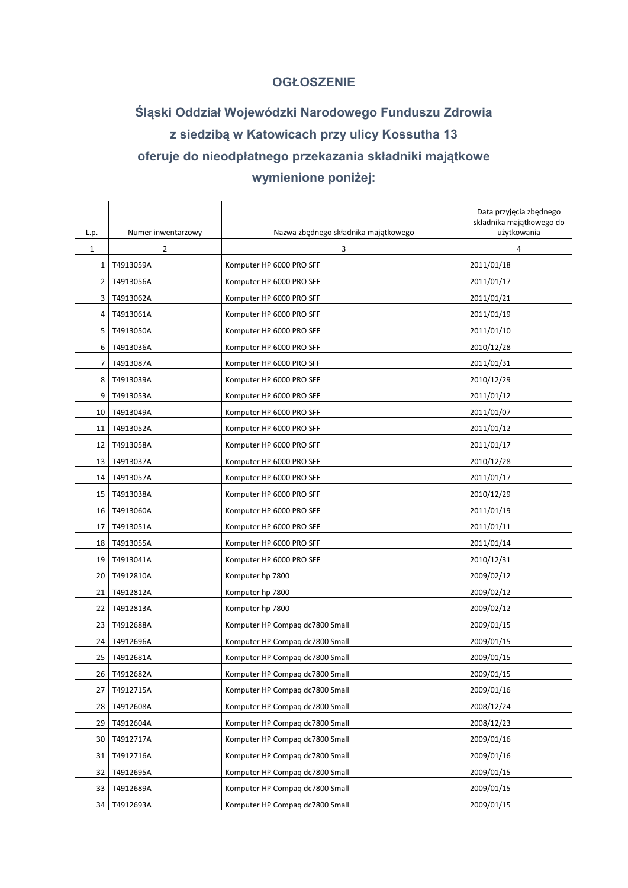## **OGŁOSZENIE**

## **Śląski Oddział Wojewódzki Narodowego Funduszu Zdrowia z siedzibą w Katowicach przy ulicy Kossutha 13 oferuje do nieodpłatnego przekazania składniki majątkowe wymienione poniżej:**

| L.p.           | Numer inwentarzowy | Nazwa zbędnego składnika majątkowego | Data przyjęcia zbędnego<br>składnika majątkowego do<br>użytkowania |  |
|----------------|--------------------|--------------------------------------|--------------------------------------------------------------------|--|
| $\mathbf{1}$   | $\overline{2}$     | 3                                    | 4                                                                  |  |
| $\mathbf{1}$   | T4913059A          | Komputer HP 6000 PRO SFF             | 2011/01/18                                                         |  |
| 2              | T4913056A          | Komputer HP 6000 PRO SFF             | 2011/01/17                                                         |  |
| 3              | T4913062A          | Komputer HP 6000 PRO SFF             | 2011/01/21                                                         |  |
| 4              | T4913061A          | Komputer HP 6000 PRO SFF             | 2011/01/19                                                         |  |
| 5              | T4913050A          | Komputer HP 6000 PRO SFF             | 2011/01/10                                                         |  |
| 6              | T4913036A          | Komputer HP 6000 PRO SFF             | 2010/12/28                                                         |  |
| $\overline{7}$ | T4913087A          | Komputer HP 6000 PRO SFF             | 2011/01/31                                                         |  |
| 8              | T4913039A          | Komputer HP 6000 PRO SFF             | 2010/12/29                                                         |  |
| 9              | T4913053A          | Komputer HP 6000 PRO SFF             | 2011/01/12                                                         |  |
| 10             | T4913049A          | Komputer HP 6000 PRO SFF             | 2011/01/07                                                         |  |
| 11             | T4913052A          | Komputer HP 6000 PRO SFF             | 2011/01/12                                                         |  |
| 12             | T4913058A          | Komputer HP 6000 PRO SFF             | 2011/01/17                                                         |  |
| 13             | T4913037A          | Komputer HP 6000 PRO SFF             | 2010/12/28                                                         |  |
| 14             | T4913057A          | Komputer HP 6000 PRO SFF             | 2011/01/17                                                         |  |
| 15             | T4913038A          | Komputer HP 6000 PRO SFF             | 2010/12/29                                                         |  |
| 16             | T4913060A          | Komputer HP 6000 PRO SFF             | 2011/01/19                                                         |  |
| 17             | T4913051A          | Komputer HP 6000 PRO SFF             | 2011/01/11                                                         |  |
| 18             | T4913055A          | Komputer HP 6000 PRO SFF             | 2011/01/14                                                         |  |
| 19             | T4913041A          | Komputer HP 6000 PRO SFF             | 2010/12/31                                                         |  |
| 20             | T4912810A          | Komputer hp 7800                     | 2009/02/12                                                         |  |
| 21             | T4912812A          | Komputer hp 7800                     | 2009/02/12                                                         |  |
| 22             | T4912813A          | Komputer hp 7800                     | 2009/02/12                                                         |  |
| 23             | T4912688A          | Komputer HP Compag dc7800 Small      | 2009/01/15                                                         |  |
| 24             | T4912696A          | Komputer HP Compaq dc7800 Small      | 2009/01/15                                                         |  |
| 25             | T4912681A          | Komputer HP Compaq dc7800 Small      | 2009/01/15                                                         |  |
| 26             | T4912682A          | Komputer HP Compaq dc7800 Small      | 2009/01/15                                                         |  |
| 27             | T4912715A          | Komputer HP Compag dc7800 Small      | 2009/01/16                                                         |  |
| 28             | T4912608A          | Komputer HP Compag dc7800 Small      | 2008/12/24                                                         |  |
| 29             | T4912604A          | Komputer HP Compag dc7800 Small      | 2008/12/23                                                         |  |
| 30             | T4912717A          | Komputer HP Compag dc7800 Small      | 2009/01/16                                                         |  |
| 31             | T4912716A          | Komputer HP Compag dc7800 Small      | 2009/01/16                                                         |  |
| 32             | T4912695A          | Komputer HP Compag dc7800 Small      | 2009/01/15                                                         |  |
| 33             | T4912689A          | Komputer HP Compag dc7800 Small      | 2009/01/15                                                         |  |
| 34             | T4912693A          | Komputer HP Compag dc7800 Small      | 2009/01/15                                                         |  |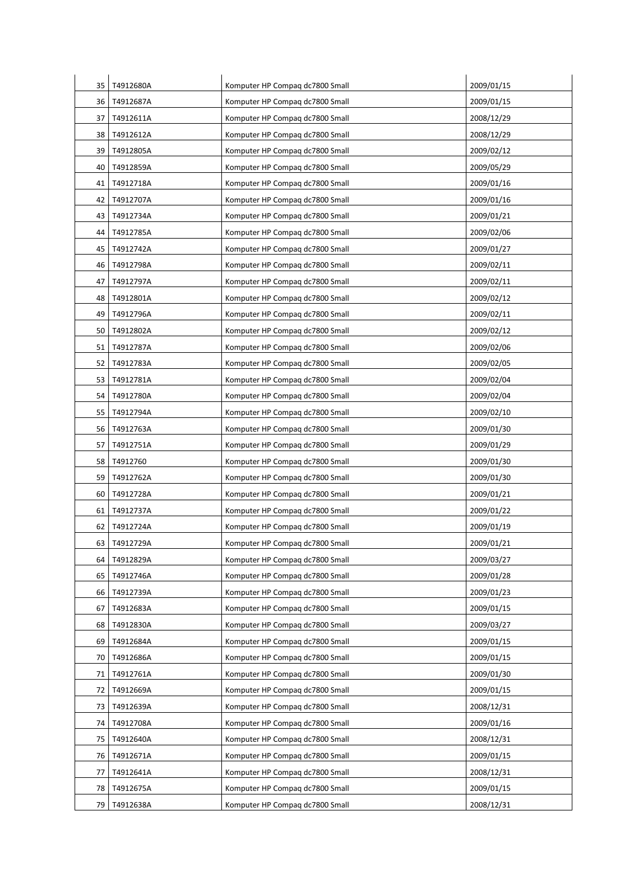| 35   | T4912680A    | Komputer HP Compag dc7800 Small | 2009/01/15 |
|------|--------------|---------------------------------|------------|
| 36 I | T4912687A    | Komputer HP Compaq dc7800 Small | 2009/01/15 |
| 37   | T4912611A    | Komputer HP Compag dc7800 Small | 2008/12/29 |
| 38   | T4912612A    | Komputer HP Compag dc7800 Small | 2008/12/29 |
| 39 I | T4912805A    | Komputer HP Compaq dc7800 Small | 2009/02/12 |
| 40   | T4912859A    | Komputer HP Compag dc7800 Small | 2009/05/29 |
| 41   | T4912718A    | Komputer HP Compag dc7800 Small | 2009/01/16 |
| 42   | T4912707A    | Komputer HP Compaq dc7800 Small | 2009/01/16 |
| 43   | T4912734A    | Komputer HP Compag dc7800 Small | 2009/01/21 |
| 44   | T4912785A    | Komputer HP Compag dc7800 Small | 2009/02/06 |
| 45   | T4912742A    | Komputer HP Compag dc7800 Small | 2009/01/27 |
| 46   | T4912798A    | Komputer HP Compaq dc7800 Small | 2009/02/11 |
| 47   | T4912797A    | Komputer HP Compag dc7800 Small | 2009/02/11 |
| 48   | T4912801A    | Komputer HP Compag dc7800 Small | 2009/02/12 |
| 49   | T4912796A    | Komputer HP Compaq dc7800 Small | 2009/02/11 |
| 50   | T4912802A    | Komputer HP Compag dc7800 Small | 2009/02/12 |
| 51 l | T4912787A    | Komputer HP Compag dc7800 Small | 2009/02/06 |
| 52   | T4912783A    | Komputer HP Compag dc7800 Small | 2009/02/05 |
| 53 I | T4912781A    | Komputer HP Compag dc7800 Small | 2009/02/04 |
| 54   | T4912780A    | Komputer HP Compag dc7800 Small | 2009/02/04 |
| 55   | T4912794A    | Komputer HP Compag dc7800 Small | 2009/02/10 |
| 56 I | T4912763A    | Komputer HP Compag dc7800 Small | 2009/01/30 |
| 57   | T4912751A    | Komputer HP Compaq dc7800 Small | 2009/01/29 |
| 58   | T4912760     | Komputer HP Compag dc7800 Small | 2009/01/30 |
| 59   | T4912762A    | Komputer HP Compag dc7800 Small | 2009/01/30 |
| 60 l | T4912728A    | Komputer HP Compaq dc7800 Small | 2009/01/21 |
| 61   | T4912737A    | Komputer HP Compag dc7800 Small | 2009/01/22 |
|      | 62 T4912724A | Komputer HP Compaq dc7800 Small | 2009/01/19 |
| 63 I | T4912729A    | Komputer HP Compag dc7800 Small | 2009/01/21 |
| 64   | T4912829A    | Komputer HP Compag dc7800 Small | 2009/03/27 |
| 65   | T4912746A    | Komputer HP Compag dc7800 Small | 2009/01/28 |
| 66   | T4912739A    | Komputer HP Compag dc7800 Small | 2009/01/23 |
| 67   | T4912683A    | Komputer HP Compag dc7800 Small | 2009/01/15 |
| 68   | T4912830A    | Komputer HP Compag dc7800 Small | 2009/03/27 |
| 69   | T4912684A    | Komputer HP Compag dc7800 Small | 2009/01/15 |
| 70   | T4912686A    | Komputer HP Compag dc7800 Small | 2009/01/15 |
| 71   | T4912761A    | Komputer HP Compag dc7800 Small | 2009/01/30 |
| 72   | T4912669A    | Komputer HP Compaq dc7800 Small | 2009/01/15 |
| 73   | T4912639A    | Komputer HP Compag dc7800 Small | 2008/12/31 |
| 74 I | T4912708A    | Komputer HP Compag dc7800 Small | 2009/01/16 |
| 75   | T4912640A    | Komputer HP Compaq dc7800 Small | 2008/12/31 |
| 76   | T4912671A    | Komputer HP Compag dc7800 Small | 2009/01/15 |
| 77   | T4912641A    | Komputer HP Compag dc7800 Small | 2008/12/31 |
| 78   | T4912675A    | Komputer HP Compaq dc7800 Small | 2009/01/15 |
|      | 79 T4912638A | Komputer HP Compag dc7800 Small | 2008/12/31 |
|      |              |                                 |            |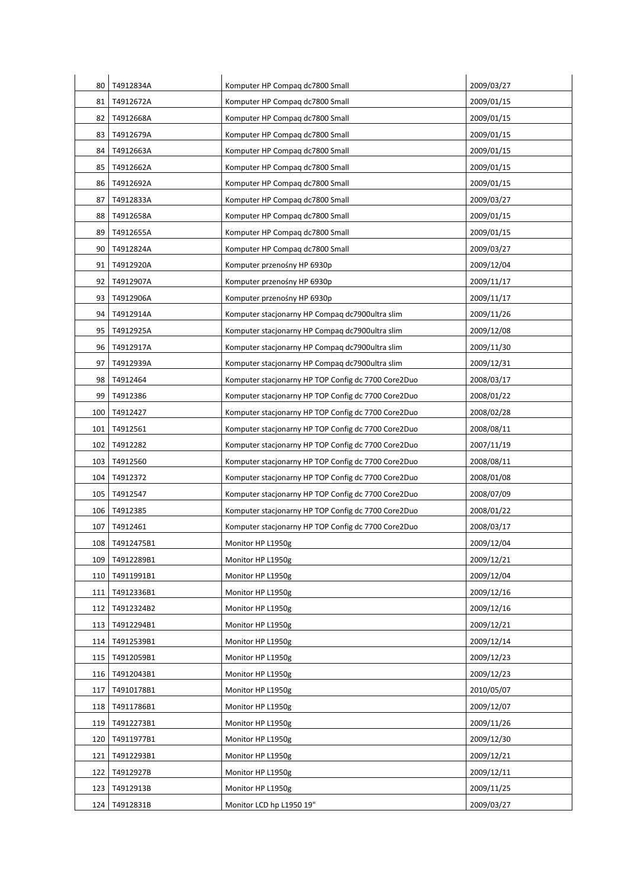| 80   | T4912834A        | Komputer HP Compag dc7800 Small                     | 2009/03/27 |
|------|------------------|-----------------------------------------------------|------------|
| 81   | T4912672A        | Komputer HP Compaq dc7800 Small                     | 2009/01/15 |
| 82   | T4912668A        | Komputer HP Compag dc7800 Small                     | 2009/01/15 |
| 83   | T4912679A        | Komputer HP Compag dc7800 Small                     | 2009/01/15 |
|      |                  |                                                     |            |
| 84   | T4912663A        | Komputer HP Compaq dc7800 Small                     | 2009/01/15 |
| 85   | T4912662A        | Komputer HP Compag dc7800 Small                     | 2009/01/15 |
| 86   | T4912692A        | Komputer HP Compaq dc7800 Small                     | 2009/01/15 |
| 87   | T4912833A        | Komputer HP Compaq dc7800 Small                     | 2009/03/27 |
| 88   | T4912658A        | Komputer HP Compag dc7800 Small                     | 2009/01/15 |
| 89   | T4912655A        | Komputer HP Compaq dc7800 Small                     | 2009/01/15 |
| 90   | T4912824A        | Komputer HP Compaq dc7800 Small                     | 2009/03/27 |
| 91   | T4912920A        | Komputer przenośny HP 6930p                         | 2009/12/04 |
| 92 I | T4912907A        | Komputer przenośny HP 6930p                         | 2009/11/17 |
| 93 I | T4912906A        | Komputer przenośny HP 6930p                         | 2009/11/17 |
| 94   | T4912914A        | Komputer stacjonarny HP Compag dc7900ultra slim     | 2009/11/26 |
| 95   | T4912925A        | Komputer stacjonarny HP Compag dc7900ultra slim     | 2009/12/08 |
| 96 I | T4912917A        | Komputer stacjonarny HP Compaq dc7900ultra slim     | 2009/11/30 |
| 97   | T4912939A        | Komputer stacjonarny HP Compaq dc7900ultra slim     | 2009/12/31 |
| 98   | T4912464         | Komputer stacjonarny HP TOP Config dc 7700 Core2Duo | 2008/03/17 |
| 99   | T4912386         | Komputer stacjonarny HP TOP Config dc 7700 Core2Duo | 2008/01/22 |
| 100  | T4912427         | Komputer stacjonarny HP TOP Config dc 7700 Core2Duo | 2008/02/28 |
| 101  | T4912561         | Komputer stacjonarny HP TOP Config dc 7700 Core2Duo | 2008/08/11 |
| 102  | T4912282         | Komputer stacjonarny HP TOP Config dc 7700 Core2Duo | 2007/11/19 |
| 103  | T4912560         | Komputer stacjonarny HP TOP Config dc 7700 Core2Duo | 2008/08/11 |
| 104  | T4912372         | Komputer stacjonarny HP TOP Config dc 7700 Core2Duo | 2008/01/08 |
| 105  | T4912547         | Komputer stacjonarny HP TOP Config dc 7700 Core2Duo | 2008/07/09 |
|      | 106   T4912385   | Komputer stacjonarny HP TOP Config dc 7700 Core2Duo | 2008/01/22 |
|      | 107 T4912461     | Komputer stacjonarny HP TOP Config dc 7700 Core2Duo | 2008/03/17 |
|      | 108   T4912475B1 | Monitor HP L1950g                                   | 2009/12/04 |
|      | 109   T4912289B1 | Monitor HP L1950g                                   | 2009/12/21 |
| 110  | T4911991B1       | Monitor HP L1950g                                   | 2009/12/04 |
| 111  | T4912336B1       | Monitor HP L1950g                                   | 2009/12/16 |
| 112  | T4912324B2       | Monitor HP L1950g                                   | 2009/12/16 |
| 113  | T4912294B1       | Monitor HP L1950g                                   | 2009/12/21 |
| 114  | T4912539B1       | Monitor HP L1950g                                   | 2009/12/14 |
|      | 115   T4912059B1 | Monitor HP L1950g                                   | 2009/12/23 |
|      | 116   T4912043B1 | Monitor HP L1950g                                   | 2009/12/23 |
| 117  | T4910178B1       | Monitor HP L1950g                                   | 2010/05/07 |
|      | 118   T4911786B1 | Monitor HP L1950g                                   | 2009/12/07 |
| 119  | T4912273B1       | Monitor HP L1950g                                   | 2009/11/26 |
| 120  | T4911977B1       | Monitor HP L1950g                                   | 2009/12/30 |
|      | 121   T4912293B1 | Monitor HP L1950g                                   | 2009/12/21 |
| 122  | T4912927B        | Monitor HP L1950g                                   | 2009/12/11 |
| 123  | T4912913B        | Monitor HP L1950g                                   | 2009/11/25 |
|      | 124 T4912831B    | Monitor LCD hp L1950 19"                            | 2009/03/27 |
|      |                  |                                                     |            |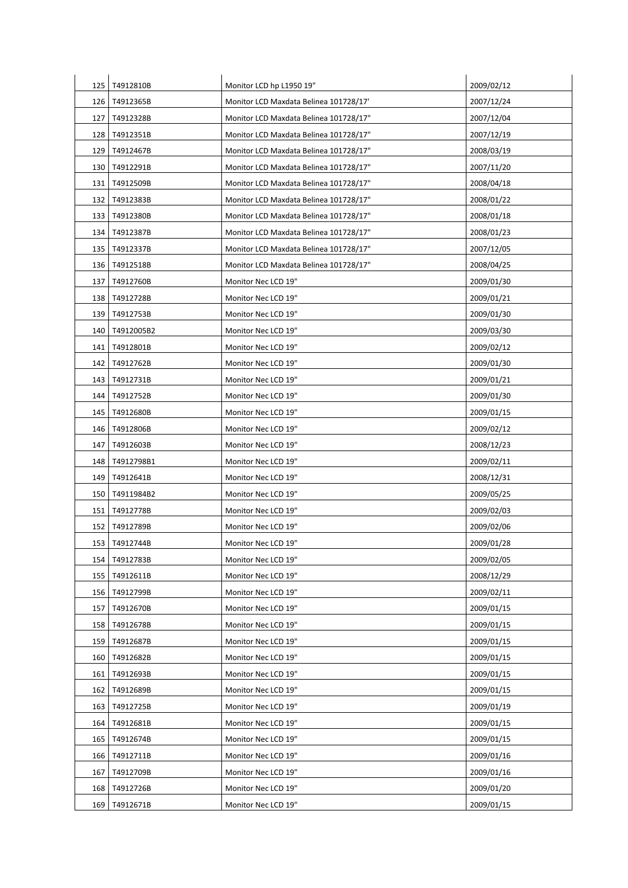| 125   | T4912810B       | Monitor LCD hp L1950 19"               | 2009/02/12 |
|-------|-----------------|----------------------------------------|------------|
| 126   | T4912365B       | Monitor LCD Maxdata Belinea 101728/17' | 2007/12/24 |
| 127   | T4912328B       | Monitor LCD Maxdata Belinea 101728/17" | 2007/12/04 |
| 128   | T4912351B       | Monitor LCD Maxdata Belinea 101728/17" | 2007/12/19 |
| 129   | T4912467B       | Monitor LCD Maxdata Belinea 101728/17" | 2008/03/19 |
|       | 130   T4912291B | Monitor LCD Maxdata Belinea 101728/17" | 2007/11/20 |
| 131   | T4912509B       | Monitor LCD Maxdata Belinea 101728/17" | 2008/04/18 |
| 132   | T4912383B       | Monitor LCD Maxdata Belinea 101728/17" | 2008/01/22 |
| 133   | T4912380B       | Monitor LCD Maxdata Belinea 101728/17" | 2008/01/18 |
| 134   | T4912387B       | Monitor LCD Maxdata Belinea 101728/17" | 2008/01/23 |
| 135   | T4912337B       | Monitor LCD Maxdata Belinea 101728/17" | 2007/12/05 |
|       | 136   T4912518B | Monitor LCD Maxdata Belinea 101728/17" | 2008/04/25 |
| 137   | T4912760B       | Monitor Nec LCD 19"                    | 2009/01/30 |
|       |                 |                                        |            |
| 138   | T4912728B       | Monitor Nec LCD 19"                    | 2009/01/21 |
| 139   | T4912753B       | Monitor Nec LCD 19"                    | 2009/01/30 |
| 140   | T4912005B2      | Monitor Nec LCD 19"                    | 2009/03/30 |
| 141 I | T4912801B       | Monitor Nec LCD 19"                    | 2009/02/12 |
| 142   | T4912762B       | Monitor Nec LCD 19"                    | 2009/01/30 |
| 143   | T4912731B       | Monitor Nec LCD 19"                    | 2009/01/21 |
| 144   | T4912752B       | Monitor Nec LCD 19"                    | 2009/01/30 |
| 145   | T4912680B       | Monitor Nec LCD 19"                    | 2009/01/15 |
| 146   | T4912806B       | Monitor Nec LCD 19"                    | 2009/02/12 |
| 147   | T4912603B       | Monitor Nec LCD 19"                    | 2008/12/23 |
| 148   | T4912798B1      | Monitor Nec LCD 19"                    | 2009/02/11 |
| 149   | T4912641B       | Monitor Nec LCD 19"                    | 2008/12/31 |
| 150   | T4911984B2      | Monitor Nec LCD 19"                    | 2009/05/25 |
| 151   | T4912778B       | Monitor Nec LCD 19"                    | 2009/02/03 |
|       | 152 T4912789B   | Monitor Nec LCD 19"                    | 2009/02/06 |
| 153   | T4912744B       | Monitor Nec LCD 19"                    | 2009/01/28 |
| 154   | T4912783B       | Monitor Nec LCD 19"                    | 2009/02/05 |
| 155   | T4912611B       | Monitor Nec LCD 19"                    | 2008/12/29 |
| 156   | T4912799B       | Monitor Nec LCD 19"                    | 2009/02/11 |
| 157   | T4912670B       | Monitor Nec LCD 19"                    | 2009/01/15 |
| 158   | T4912678B       | Monitor Nec LCD 19"                    | 2009/01/15 |
| 159   | T4912687B       | Monitor Nec LCD 19"                    | 2009/01/15 |
| 160   | T4912682B       | Monitor Nec LCD 19"                    | 2009/01/15 |
| 161   | T4912693B       | Monitor Nec LCD 19"                    | 2009/01/15 |
| 162   | T4912689B       | Monitor Nec LCD 19"                    | 2009/01/15 |
| 163   | T4912725B       | Monitor Nec LCD 19"                    | 2009/01/19 |
| 164   | T4912681B       | Monitor Nec LCD 19"                    | 2009/01/15 |
| 165   | T4912674B       | Monitor Nec LCD 19"                    | 2009/01/15 |
| 166   | T4912711B       | Monitor Nec LCD 19"                    | 2009/01/16 |
| 167   | T4912709B       | Monitor Nec LCD 19"                    | 2009/01/16 |
| 168   | T4912726B       | Monitor Nec LCD 19"                    | 2009/01/20 |
|       |                 |                                        |            |
| 169   | T4912671B       | Monitor Nec LCD 19"                    | 2009/01/15 |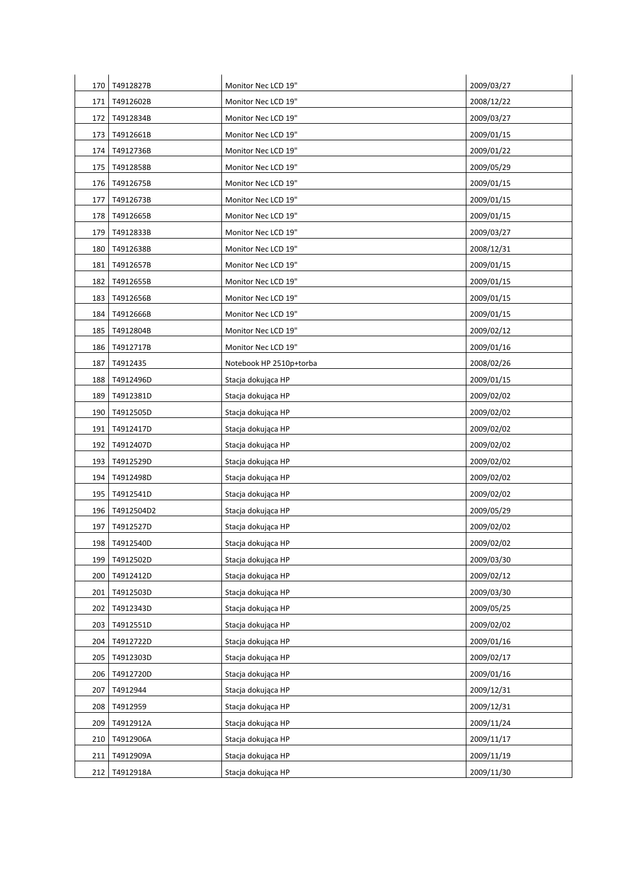| 170 | T4912827B        | Monitor Nec LCD 19"     | 2009/03/27 |
|-----|------------------|-------------------------|------------|
| 171 | T4912602B        | Monitor Nec LCD 19"     | 2008/12/22 |
|     | 172   T4912834B  | Monitor Nec LCD 19"     | 2009/03/27 |
| 173 | T4912661B        | Monitor Nec LCD 19"     | 2009/01/15 |
| 174 | T4912736B        | Monitor Nec LCD 19"     | 2009/01/22 |
|     | 175 T4912858B    | Monitor Nec LCD 19"     | 2009/05/29 |
| 176 | T4912675B        | Monitor Nec LCD 19"     | 2009/01/15 |
| 177 | T4912673B        | Monitor Nec LCD 19"     | 2009/01/15 |
| 178 | T4912665B        | Monitor Nec LCD 19"     | 2009/01/15 |
| 179 | T4912833B        | Monitor Nec LCD 19"     | 2009/03/27 |
| 180 | T4912638B        | Monitor Nec LCD 19"     | 2008/12/31 |
| 181 | T4912657B        | Monitor Nec LCD 19"     | 2009/01/15 |
|     | 182   T4912655B  | Monitor Nec LCD 19"     | 2009/01/15 |
| 183 | T4912656B        | Monitor Nec LCD 19"     | 2009/01/15 |
| 184 | T4912666B        | Monitor Nec LCD 19"     | 2009/01/15 |
| 185 | T4912804B        | Monitor Nec LCD 19"     | 2009/02/12 |
|     | 186 T4912717B    | Monitor Nec LCD 19"     | 2009/01/16 |
| 187 | T4912435         | Notebook HP 2510p+torba | 2008/02/26 |
| 188 | T4912496D        | Stacja dokująca HP      | 2009/01/15 |
|     | 189 T4912381D    | Stacja dokująca HP      | 2009/02/02 |
| 190 | T4912505D        | Stacja dokująca HP      | 2009/02/02 |
| 191 | T4912417D        | Stacja dokująca HP      | 2009/02/02 |
| 192 | T4912407D        | Stacja dokująca HP      | 2009/02/02 |
|     | 193   T4912529D  | Stacja dokująca HP      | 2009/02/02 |
|     | 194 T4912498D    | Stacja dokująca HP      | 2009/02/02 |
|     | 195 T4912541D    | Stacja dokująca HP      | 2009/02/02 |
|     | 196   T4912504D2 | Stacja dokująca HP      | 2009/05/29 |
|     | 197 T4912527D    | Stacja dokująca HP      | 2009/02/02 |
| 198 | T4912540D        | Stacja dokująca HP      | 2009/02/02 |
| 199 | T4912502D        | Stacja dokująca HP      | 2009/03/30 |
| 200 | T4912412D        | Stacja dokująca HP      | 2009/02/12 |
| 201 | T4912503D        | Stacja dokująca HP      | 2009/03/30 |
| 202 | T4912343D        | Stacja dokująca HP      | 2009/05/25 |
| 203 | T4912551D        | Stacja dokująca HP      | 2009/02/02 |
| 204 | T4912722D        | Stacja dokująca HP      | 2009/01/16 |
| 205 | T4912303D        | Stacja dokująca HP      | 2009/02/17 |
| 206 | T4912720D        | Stacja dokująca HP      | 2009/01/16 |
| 207 | T4912944         | Stacja dokująca HP      | 2009/12/31 |
| 208 | T4912959         | Stacja dokująca HP      | 2009/12/31 |
| 209 | T4912912A        | Stacja dokująca HP      | 2009/11/24 |
| 210 | T4912906A        | Stacja dokująca HP      | 2009/11/17 |
| 211 | T4912909A        | Stacja dokująca HP      | 2009/11/19 |
|     | 212 T4912918A    | Stacja dokująca HP      | 2009/11/30 |
|     |                  |                         |            |